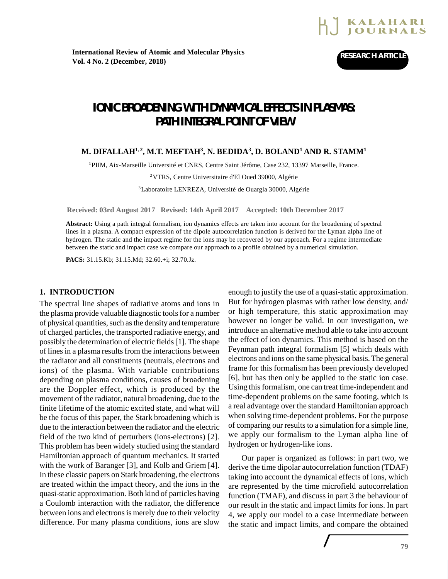

# **IONIC BROADENING WITH DYNAMICAL EFFECTS IN PLASMAS: PATH INTEGRAL POINT OF VIEW**

# **M. DIFALLAH1, <sup>2</sup> , M.T. MEFTAH<sup>3</sup> , N. BEDIDA<sup>3</sup> , D. BOLAND<sup>1</sup> AND R. STAMM<sup>1</sup>**

<sup>1</sup>PIIM, Aix-Marseille Université et CNRS, Centre Saint Jérôme, Case 232, 13397 Marseille, France.

<sup>2</sup>VTRS, Centre Universitaire d'El Oued 39000, Algérie

<sup>3</sup>Laboratoire LENREZA, Université de Ouargla 30000, Algérie

**Received: 03rd August 2017 Revised: 14th April 2017 Accepted: 10th December 2017**

**Abstract:** Using a path integral formalism, ion dynamics effects are taken into account for the broadening of spectral lines in a plasma. A compact expression of the dipole autocorrelation function is derived for the Lyman alpha line of hydrogen. The static and the impact regime for the ions may be recovered by our approach. For a regime intermediate between the static and impact case we compare our approach to a profile obtained by a numerical simulation.

**PACS:** 31.15.Kb; 31.15.Md; 32.60.+i; 32.70.Jz.

## **1. INTRODUCTION**

The spectral line shapes of radiative atoms and ions in the plasma provide valuable diagnostic tools for a number of physical quantities, such as the density and temperature of charged particles, the transported radiative energy, and possibly the determination of electric fields [1]. The shape of lines in a plasma results from the interactions between the radiator and all constituents (neutrals, electrons and ions) of the plasma. With variable contributions depending on plasma conditions, causes of broadening are the Doppler effect, which is produced by the movement of the radiator, natural broadening, due to the finite lifetime of the atomic excited state, and what will be the focus of this paper, the Stark broadening which is due to the interaction between the radiator and the electric field of the two kind of perturbers (ions-electrons) [2]. This problem has been widely studied using the standard Hamiltonian approach of quantum mechanics. It started with the work of Baranger [3], and Kolb and Griem [4]. In these classic papers on Stark broadening, the electrons are treated within the impact theory, and the ions in the quasi-static approximation. Both kind of particles having a Coulomb interaction with the radiator, the difference between ions and electrons is merely due to their velocity difference. For many plasma conditions, ions are slow

enough to justify the use of a quasi-static approximation. But for hydrogen plasmas with rather low density, and/ or high temperature, this static approximation may however no longer be valid. In our investigation, we introduce an alternative method able to take into account the effect of ion dynamics. This method is based on the Feynman path integral formalism [5] which deals with electrons and ions on the same physical basis. The general frame for this formalism has been previously developed [6], but has then only be applied to the static ion case. Using this formalism, one can treat time-independent and time-dependent problems on the same footing, which is a real advantage over the standard Hamiltonian approach when solving time-dependent problems. For the purpose of comparing our results to a simulation for a simple line, we apply our formalism to the Lyman alpha line of hydrogen or hydrogen-like ions.

Our paper is organized as follows: in part two, we derive the time dipolar autocorrelation function (TDAF) taking into account the dynamical effects of ions, which are represented by the time microfield autocorrelation function (TMAF), and discuss in part 3 the behaviour of our result in the static and impact limits for ions. In part 4, we apply our model to a case intermediate between the static and impact limits, and compare the obtained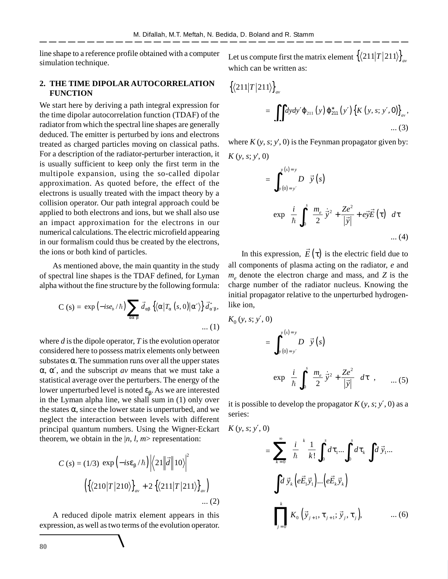line shape to a reference profile obtained with a computer simulation technique.

# **2. THE TIME DIPOLAR AUTOCORRELATION FUNCTION**

We start here by deriving a path integral expression for the time dipolar autocorrelation function (TDAF) of the radiator from which the spectral line shapes are generally deduced. The emitter is perturbed by ions and electrons treated as charged particles moving on classical paths. For a description of the radiator-perturber interaction, it is usually sufficient to keep only the first term in the multipole expansion, using the so-called dipolar approximation. As quoted before, the effect of the electrons is usually treated with the impact theory by a collision operator. Our path integral approach could be applied to both electrons and ions, but we shall also use an impact approximation for the electrons in our numerical calculations. The electric microfield appearing in our formalism could thus be created by the electrons, the ions or both kind of particles.

As mentioned above, the main quantity in the study of spectral line shapes is the TDAF defined, for Lyman alpha without the fine structure by the following formula:

$$
C (s) = \exp (-is_{\ell_b}/\hbar) \sum_{\alpha \alpha' \beta} \vec{d}_{\alpha \beta} \left\{ \langle \alpha | T_{\alpha} (s, 0) | \alpha' \rangle \right\} \vec{d}_{\alpha' \beta}^*,
$$
  
...(1)

where *d* is the dipole operator, *T* is the evolution operator considered here to possess matrix elements only between substates  $\alpha$ . The summation runs over all the upper states α, α′, and the subscript *av* means that we must take a statistical average over the perturbers. The energy of the lower unperturbed level is noted  $\epsilon_{\beta}$ . As we are interested in the Lyman alpha line, we shall sum in (1) only over the states  $\alpha$ , since the lower state is unperturbed, and we neglect the interaction between levels with different principal quantum numbers. Using the Wigner-Eckart theorem, we obtain in the  $|n, l, m$  representation:

$$
C(s) = (1/3) \exp\left(-is\epsilon_{\beta}/\hbar\right) \left|\left\langle 21\middle|\vec{d}\right| |10\rangle\right|^{2}
$$

$$
\left(\left\{\left\langle 210\middle|T\middle|210\right\rangle\right\}_{av} + 2\left\{\left\langle 211\middle|T\middle|211\right\rangle\right\}_{av}\right) \dots (2)
$$

A reduced dipole matrix element appears in this expression, as well as two terms of the evolution operator.

Let us compute first the matrix element { 211 211 }*av T* which can be written as:

$$
\begin{aligned} \left\{ \langle 211|T|211\rangle \right\}_{av} \\ &= \iint dy dy' \varphi_{211} \left( y \right) \varphi_{211}^{*} \left( y' \right) \left\{ K \left( y, s; y', 0 \right) \right\}_{av}, \\ &\dots (3) \end{aligned}
$$

where  $K(y, s; y', 0)$  is the Feynman propagator given by: *K* (*y*, *s*; *y*', 0)

$$
= \int_{y(0)=y'}^{y(s)=y} D\left[\vec{y}(s)\right]
$$

$$
exp\left\{\frac{i}{\hbar} \int_{0}^{s} \left(\frac{m_e}{2}\dot{\vec{y}}^2 + \frac{Ze^2}{|\vec{y}|} + e\vec{y}\vec{E}(\tau)\right) d\tau\right\}
$$
...(4)

In this expression,  $E(\tau)$  $\rightarrow$  is the electric field due to all components of plasma acting on the radiator, *e* and *me* denote the electron charge and mass, and *Z* is the charge number of the radiator nucleus. Knowing the initial propagator relative to the unperturbed hydrogenlike ion,

$$
K_0(y, s; y', 0)
$$
  
= 
$$
\int_{y(0)=y'}^{y(s)=y} D[\vec{y}(s)]
$$
  

$$
\exp{\left\{\frac{i}{\hbar} \int_0^s \left(\frac{m_e}{2} \dot{\vec{y}}^2 + \frac{Ze^2}{|\vec{y}|}\right) d\tau\right\}}, \quad \dots (5)
$$

it is possible to develop the propagator  $K(y, s; y', 0)$  as a series:

$$
K(y, s; y', 0)
$$
  
= 
$$
\sum_{k=0}^{\infty} \left(\frac{i}{\hbar}\right)^{k} \frac{1}{k!} \int_{0}^{s} d\tau_{1} \dots \int_{0}^{s} d\tau_{k} \int d\vec{y}_{1} \dots
$$
  

$$
\int d\vec{y}_{k} \left(e\vec{E}_{1}\vec{y}_{1}\right) \dots \left(e\vec{E}_{k}\vec{y}_{k}\right)
$$
  

$$
\prod_{j=0}^{k} K_{0} \left(\vec{y}_{j+1}, \tau_{j+1}; \vec{y}_{j}, \tau_{j}\right), \qquad \dots (6)
$$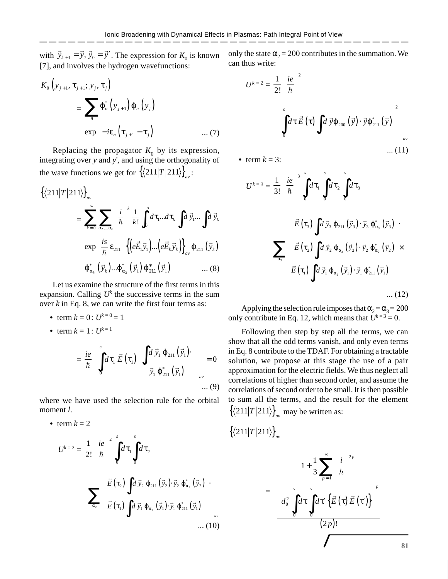with  $\vec{y}_{k+1} = \vec{y}, \vec{y}_0 = \vec{y}'$ . The expression for  $K_0$  is known [7], and involves the hydrogen wavefunctions:

$$
K_{0}\left(y_{j+1}, \tau_{j+1}; y_{j}, \tau_{j}\right)
$$
  
= 
$$
\sum_{n} \varphi_{n}^{*}\left(y_{j+1}\right) \varphi_{n}\left(y_{j}\right)
$$
  

$$
\exp\left[-i\varepsilon_{n}\left(\tau_{j+1} - \tau_{j}\right)\right]
$$
 ... (7)

Replacing the propagator  $K_0$  by its expression, integrating over *y* and *y*', and using the orthogonality of the wave functions we get for  $\left\{ \frac{\langle 211|T|211}{\} \right\}_{av}$ :

$$
\{\langle 211|T|211\rangle\}_{av}
$$
\n
$$
= \sum_{k=0}^{\infty} \sum_{\alpha_2,\dots,\alpha_k} \left(\frac{i}{\hbar}\right)^k \frac{1}{k!} \int_0^s d\tau_1 \dots d\tau_k \int d\vec{y}_1 \dots \int d\vec{y}_k
$$
\n
$$
\exp\left[\frac{is}{\hbar} \varepsilon_{211}\right] \left\{ \left(e\vec{E}_1\vec{y}_1\right) \dots \left(e\vec{E}_k\vec{y}_k\right) \right\}_{av} \varphi_{211} \left(\vec{y}_k\right)
$$
\n
$$
\varphi_{\alpha_k}^* \left(\vec{y}_k\right) \dots \varphi_{\alpha_2}^* \left(\vec{y}_1\right) \varphi_{211}^* \left(\vec{y}_1\right) \qquad \dots (8)
$$

Let us examine the structure of the first terms in this expansion. Calling  $U^k$  the successive terms in the sum over *k* in Eq. 8, we can write the first four terms as:

- term  $k = 0$ :  $U^{k=0} = 1$
- term  $k = 1: U^{k=1}$

• term  $k = 2$ 

$$
= \frac{ie}{\hbar} \left\{ \int_{0}^{s} d\tau_{1} \, \vec{E} \left( \tau_{1} \right) \left[ \int_{0}^{s} d\vec{y}_{1} \, \varphi_{211} \left( \vec{y}_{1} \right) \cdot \right] \right\}_{av} = 0
$$
\n
$$
\vec{y}_{1} \, \varphi_{211} \left( \vec{y}_{1} \right) \quad \left. \right]_{av} \quad (9)
$$

where we have used the selection rule for the orbital moment *l*.

$$
U^{k=2} = \frac{1}{2!} \left(\frac{ie}{\hbar}\right)^2 \int_0^s d\tau_1 \int_0^s d\tau_2
$$

$$
\left\{\sum_{\alpha_2} \left[\vec{E}(\tau_2) \int d\vec{y}_2 \varphi_{211}(\vec{y}_2) \cdot \vec{y}_2 \varphi_{\alpha_2}^*(\vec{y}_2)\right] \cdot \right\}_{\alpha_2} \left[\vec{E}(\tau_1) \int d\vec{y}_1 \varphi_{\alpha_2}(\vec{y}_1) \cdot \vec{y}_1 \varphi_{211}^*(\vec{y}_1)\right] \right\}_{\alpha_2} \dots (10)
$$

only the state  $\alpha_2 = 200$  contributes in the summation. We can thus write:

$$
U^{k=2} = \frac{1}{2!} \left(\frac{ie}{\hbar}\right)^2
$$

$$
\left\{\left[\int_0^s d\tau \vec{E}(\tau) \int d\vec{y} \varphi_{200}(\vec{y}) \cdot \vec{y} \varphi_{211}^*(\vec{y})\right]^2\right\}_{av}
$$
...(11)

• term  $k = 3$ :

$$
U^{k=3} = \frac{1}{3!} \left(\frac{ie}{\hbar}\right)^3 \int_0^s d\tau_1 \int_0^s d\tau_2 \int_0^s d\tau_3
$$
  

$$
\sum_{\alpha_3} \left\{ \left[\vec{E}(\tau_3) \int d\vec{y}_3 \varphi_{211} (\vec{y}_3) \cdot \vec{y}_3 \varphi_{\alpha_3} (\vec{y}_3) \right] \cdot \right\}
$$
  

$$
\sum_{\alpha_3} \left\{ \left[\vec{E}(\tau_2) \int d\vec{y}_2 \varphi_{\alpha_3} (\vec{y}_2) \cdot \vec{y}_2 \varphi_{\alpha_2} (\vec{y}_2) \right] \times \right\}
$$
  

$$
\vec{E}(\tau_1) \int d\vec{y}_1 \varphi_{\alpha_2} (\vec{y}_1) \cdot \vec{y}_1 \varphi_{211} (\vec{y}_1)
$$
 ... (12)

Applying the selection rule imposes that  $\alpha_2 = \alpha_3 = 200$ only contribute in Eq. 12, which means that  $U^{k=3} = 0$ .

Following then step by step all the terms, we can show that all the odd terms vanish, and only even terms in Eq. 8 contribute to the TDAF. For obtaining a tractable solution, we propose at this stage the use of a pair approximation for the electric fields. We thus neglect all correlations of higher than second order, and assume the correlations of second order to be small. It is then possible to sum all the terms, and the result for the element  $\left\{ \frac{\langle 211|T|211}{\ }_{av} \right\}$  may be written as:

$$
\left\{\left\langle 211|T|211\right\rangle\right\}_{av}
$$

$$
U = 2! \left(\hbar \int \int_{0}^{a} u \, du \, du \right)_{0}^{a} u \, du
$$
\n
$$
\left\{ \sum_{\alpha_{2}} \left[ \vec{E}(\tau_{1}) \int d \, \vec{y}_{1} \, \varphi_{\alpha_{2}}(\vec{y}_{1}) \cdot \vec{y}_{1} \, \varphi_{\alpha_{2}}^{*}(\vec{y}_{2}) \right] \right\}_{a}, \qquad \qquad = \left[ \left[ \frac{1 + \frac{1}{3} \sum_{p=1}^{\infty} \left( \frac{i}{\hbar} \right)^{2p}}{\left[ d_{0}^{2} \int_{0}^{s} d \tau \int_{0}^{s} d \tau' \left\{ \vec{E}(\tau) \vec{E}(\tau') \right\} \right]^{p} \right] \right]_{a}, \qquad (10)
$$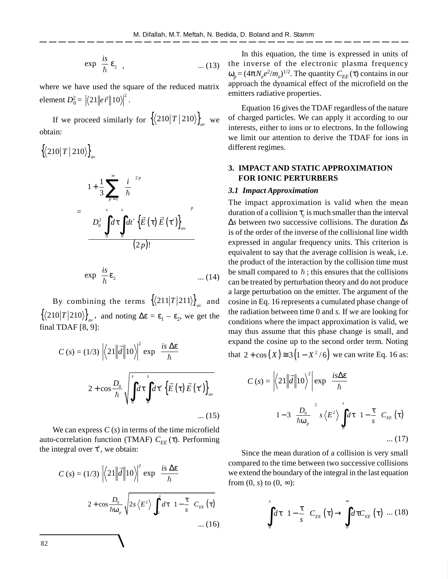$$
\exp\left[\frac{is}{\hbar}\,\varepsilon_2\right],\tag{13}
$$

where we have used the square of the reduced matrix element  $D_0^2 = |\langle 21 | | e \vec{r} | | 10 \rangle |^2$ .

If we proceed similarly for  $\{210|T|210\}_{av}$  we obtain:

$$
\left\{ \langle 210 | T | 210 \rangle \right\}_{av}
$$
\n
$$
= \left[ 1 + \frac{1}{3} \sum_{p=1}^{\infty} \left( \frac{i}{\hbar} \right)^{2p} \right]
$$
\n
$$
= \left[ D_0^2 \int_0^s d\tau \int_0^s dt' \left\{ \vec{E}(\tau) \vec{E}(\tau') \right\}_{av} \right]^p
$$
\n
$$
= \exp \left[ \frac{i s}{\hbar} \varepsilon_2 \right] \qquad \qquad \dots (14)
$$

By combining the terms  $\{ \langle 211|T|211 \rangle \}_{av}$  and  $\{ \langle 210|T|210 \rangle \}_{av}$ , and noting  $\Delta \varepsilon = \varepsilon_1 - \varepsilon_2$ , we get the final TDAF [8, 9]:

$$
C(s) = (1/3) \left\langle 21 \middle| \vec{d} \middle| 10 \right\rangle \right|^2 \exp\left(\frac{is \Delta \varepsilon}{\hbar}\right)
$$

$$
\left[ 2 + \cos \frac{D_0}{\hbar} \sqrt{\int_0^s d\tau \int_0^s d\tau' \left\{ \vec{E}(\tau) \vec{E}(\tau') \right\}_{av}} \right]
$$
...(15)

We can express  $C(s)$  in terms of the time microfield auto-correlation function (TMAF)  $C_{EE}(\tau)$ . Performing the integral over  $\tau'$ , we obtain:

$$
C(s) = (1/3) \left| \left\langle 21 \middle| \vec{d} \right| \right| 10 \right\rangle^2 \exp\left(\frac{is \Delta \varepsilon}{\hbar}\right)
$$

$$
\left[ 2 + \cos \frac{D_0}{\hbar \omega_p} \sqrt{2s \left\langle E^2 \right\rangle \int_0^s d\tau \left(1 - \frac{\tau}{s}\right) C_{EE}(\tau) \right]}
$$
...(16)

In this equation, the time is expressed in units of the inverse of the electronic plasma frequency  $ω<sub>p</sub> = (4πN<sub>e</sub>e<sup>2</sup>/m<sub>e</sub>)<sup>1/2</sup>$ . The quantity  $C<sub>EE</sub> (τ)$  contains in our approach the dynamical effect of the microfield on the emitters radiative properties.

Equation 16 gives the TDAF regardless of the nature of charged particles. We can apply it according to our interests, either to ions or to electrons. In the following we limit our attention to derive the TDAF for ions in different regimes.

# **3. IMPACT AND STATIC APPROXIMATION FOR IONIC PERTURBERS**

#### *3.1 Impact Approximation*

The impact approximation is valid when the mean duration of a collision  $\tau_c$  is much smaller than the interval ∆*s* between two successive collisions. The duration ∆*s* is of the order of the inverse of the collisional line width expressed in angular frequency units. This criterion is equivalent to say that the average collision is weak, i.e. the product of the interaction by the collision time must be small compared to  $\hbar$ ; this ensures that the collisions can be treated by perturbation theory and do not produce a large perturbation on the emitter. The argument of the cosine in Eq. 16 represents a cumulated phase change of the radiation between time 0 and *s*. If we are looking for conditions where the impact approximation is valid, we may thus assume that this phase change is small, and expand the cosine up to the second order term. Noting that  $2 + \cos (X) \approx 3 (1 - X^2 / 6)$  we can write Eq. 16 as:

$$
C(s) = \left| \left\langle 21 \middle| \vec{d} \middle| 10 \right\rangle^2 \right| \exp\left(\frac{is\Delta\epsilon}{\hbar}\right)
$$

$$
\left[ 1 - 3\left(\frac{D_0}{\hbar\omega_p}\right)^2 s \left\langle E^2 \right\rangle \int_0^s d\tau \left( 1 - \frac{\tau}{s} \right) C_{EE}(\tau) \right]
$$

$$
\dots (17)
$$

Since the mean duration of a collision is very small compared to the time between two successive collisions we extend the boundary of the integral in the last equation from  $(0, s)$  to  $(0, \infty)$ :

$$
\int_{0}^{s} d\tau \left(1 - \frac{\tau}{s}\right) C_{EE}(\tau) \rightarrow \int_{0}^{\infty} d\tau C_{EE}(\tau) \dots (18)
$$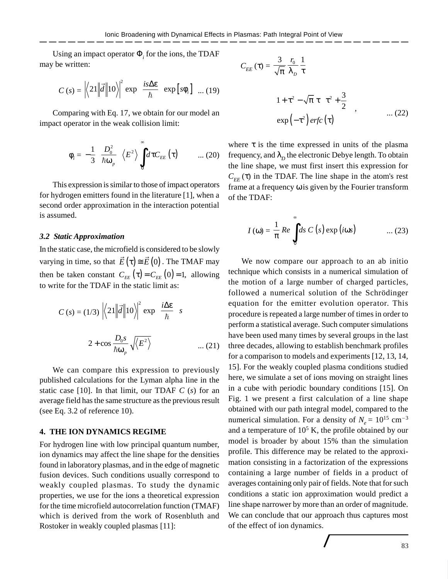Using an impact operator  $\Phi_i$  for the ions, the TDAF may be written:

$$
C(s) = \left| \left\langle 21 \middle| \vec{d} \right| \right| 10 \right\rangle^2 \exp\left( \frac{is \Delta \varepsilon}{\hbar} \right) \exp\left[ s\phi_i \right] \dots (19)
$$

Comparing with Eq. 17, we obtain for our model an impact operator in the weak collision limit:

$$
\phi_i = -\frac{1}{3} \left( \frac{D_0^2}{\hbar \omega_p} \right) \langle E^2 \rangle \int_0^\infty d\tau C_{EE}(\tau) \qquad \dots (20)
$$

This expression is similar to those of impact operators for hydrogen emitters found in the literature [1], when a second order approximation in the interaction potential is assumed.

#### *3.2 Static Approximation*

In the static case, the microfield is considered to be slowly varying in time, so that  $E(\tau) \cong E(0)$  $\rightarrow$  ,  $\rightarrow$  ,  $\rightarrow$  , . The TMAF may then be taken constant  $C_{EE}(\tau) = C_{EE}(0) = 1$ , allowing to write for the TDAF in the static limit as:

$$
C(s) = (1/3) \left| \left\langle 21 \middle| \vec{d} \middle| 10 \right\rangle \right|^2 \exp\left(\frac{i\Delta \varepsilon}{\hbar}\right) s
$$

$$
\left[ 2 + \cos \frac{D_0 s}{\hbar \omega_p} \sqrt{\left\langle E^2 \right\rangle} \right] \qquad \qquad \dots (21)
$$

We can compare this expression to previously published calculations for the Lyman alpha line in the static case [10]. In that limit, our TDAF *C* (*s*) for an average field has the same structure as the previous result (see Eq. 3.2 of reference 10).

### **4. THE ION DYNAMICS REGIME**

For hydrogen line with low principal quantum number, ion dynamics may affect the line shape for the densities found in laboratory plasmas, and in the edge of magnetic fusion devices. Such conditions usually correspond to weakly coupled plasmas. To study the dynamic properties, we use for the ions a theoretical expression for the time microfield autocorrelation function (TMAF) which is derived from the work of Rosenbluth and Rostoker in weakly coupled plasmas [11]:

$$
C_{EE}(\tau) = \frac{3}{\sqrt{\pi}} \frac{r_0}{\lambda_D} \frac{1}{\tau}
$$

$$
\left[1 + \tau^2 - \sqrt{\pi} \tau \left(\tau^2 + \frac{3}{2}\right)\right], \qquad \dots (22)
$$

$$
\exp(-\tau^2) \text{erfc}(\tau)
$$

where  $\tau$  is the time expressed in units of the plasma frequency, and  $\lambda_D^{\,}$  the electronic Debye length. To obtain the line shape, we must first insert this expression for  $C_{EF}(\tau)$  in the TDAF. The line shape in the atom's rest frame at a frequency ω is given by the Fourier transform of the TDAF:

$$
I(\omega) = \frac{1}{\pi} Re \int_{0}^{\infty} ds \ C\left(s\right) \exp(i\omega s) \qquad \qquad \dots (23)
$$

We now compare our approach to an ab initio technique which consists in a numerical simulation of the motion of a large number of charged particles, followed a numerical solution of the Schrödinger equation for the emitter evolution operator. This procedure is repeated a large number of times in order to perform a statistical average. Such computer simulations have been used many times by several groups in the last three decades, allowing to establish benchmark profiles for a comparison to models and experiments [12, 13, 14, 15]. For the weakly coupled plasma conditions studied here, we simulate a set of ions moving on straight lines in a cube with periodic boundary conditions [15]. On Fig. 1 we present a first calculation of a line shape obtained with our path integral model, compared to the numerical simulation. For a density of  $N_e = 10^{15}$  cm<sup>-3</sup> and a temperature of  $10<sup>5</sup>$  K, the profile obtained by our model is broader by about 15% than the simulation profile. This difference may be related to the approximation consisting in a factorization of the expressions containing a large number of fields in a product of averages containing only pair of fields. Note that for such conditions a static ion approximation would predict a line shape narrower by more than an order of magnitude. We can conclude that our approach thus captures most of the effect of ion dynamics.